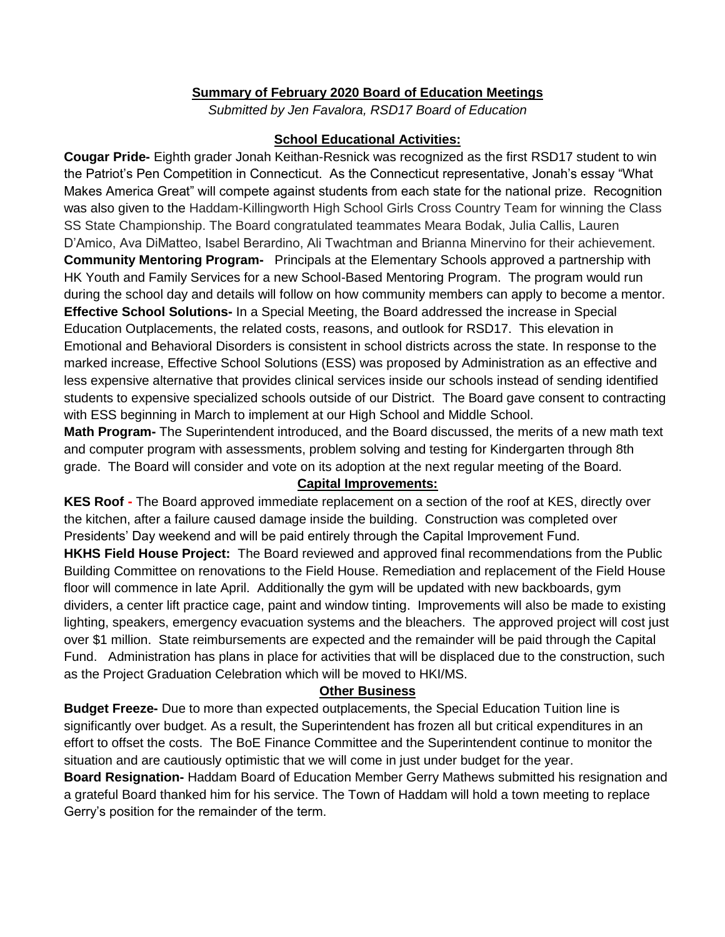## **Summary of February 2020 Board of Education Meetings**

*Submitted by Jen Favalora, RSD17 Board of Education*

## **School Educational Activities:**

**Cougar Pride-** Eighth grader Jonah Keithan-Resnick was recognized as the first RSD17 student to win the Patriot's Pen Competition in Connecticut. As the Connecticut representative, Jonah's essay "What Makes America Great" will compete against students from each state for the national prize. Recognition was also given to the Haddam-Killingworth High School Girls Cross Country Team for winning the Class SS State Championship. The Board congratulated teammates Meara Bodak, Julia Callis, Lauren D'Amico, Ava DiMatteo, Isabel Berardino, Ali Twachtman and Brianna Minervino for their achievement. **Community Mentoring Program-** Principals at the Elementary Schools approved a partnership with HK Youth and Family Services for a new School-Based Mentoring Program. The program would run during the school day and details will follow on how community members can apply to become a mentor. **Effective School Solutions-** In a Special Meeting, the Board addressed the increase in Special Education Outplacements, the related costs, reasons, and outlook for RSD17. This elevation in Emotional and Behavioral Disorders is consistent in school districts across the state. In response to the marked increase, Effective School Solutions (ESS) was proposed by Administration as an effective and less expensive alternative that provides clinical services inside our schools instead of sending identified students to expensive specialized schools outside of our District. The Board gave consent to contracting with ESS beginning in March to implement at our High School and Middle School.

**Math Program-** The Superintendent introduced, and the Board discussed, the merits of a new math text and computer program with assessments, problem solving and testing for Kindergarten through 8th grade. The Board will consider and vote on its adoption at the next regular meeting of the Board.

## **Capital Improvements:**

**KES Roof -** The Board approved immediate replacement on a section of the roof at KES, directly over the kitchen, after a failure caused damage inside the building. Construction was completed over Presidents' Day weekend and will be paid entirely through the Capital Improvement Fund. **HKHS Field House Project:** The Board reviewed and approved final recommendations from the Public Building Committee on renovations to the Field House. Remediation and replacement of the Field House floor will commence in late April. Additionally the gym will be updated with new backboards, gym dividers, a center lift practice cage, paint and window tinting. Improvements will also be made to existing lighting, speakers, emergency evacuation systems and the bleachers. The approved project will cost just over \$1 million. State reimbursements are expected and the remainder will be paid through the Capital Fund. Administration has plans in place for activities that will be displaced due to the construction, such as the Project Graduation Celebration which will be moved to HKI/MS.

## **Other Business**

**Budget Freeze-** Due to more than expected outplacements, the Special Education Tuition line is significantly over budget. As a result, the Superintendent has frozen all but critical expenditures in an effort to offset the costs. The BoE Finance Committee and the Superintendent continue to monitor the situation and are cautiously optimistic that we will come in just under budget for the year.

**Board Resignation-** Haddam Board of Education Member Gerry Mathews submitted his resignation and a grateful Board thanked him for his service. The Town of Haddam will hold a town meeting to replace Gerry's position for the remainder of the term.